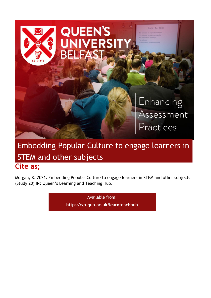

# **Cite as;** Embedding Popular Culture to engage learners in STEM and other subjects

Morgan, K. 2021. Embedding Popular Culture to engage learners in STEM and other subjects (Study 20) IN: Queen's Learning and Teaching Hub.

> Available from: **<https://go.qub.ac.uk/learnteachhub>**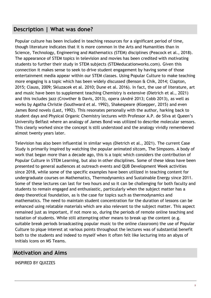### **Description | What was done?**

Popular culture has been included in teaching resources for a significant period of time, though literature indicates that it is more common in the Arts and Humanities than in Science, Technology, Engineering and Mathematics (STEM) disciplines (Peacock et al., 2018). The appearance of STEM topics in television and movies has been credited with motivating students to further their study in STEM subjects (STEMeducationworks.com). Given this connection it makes sense to seek to drive student engagement by having some of those entertainment media appear within our STEM classes. Using Popular Culture to make teaching more engaging is a topic which has been widely discussed (Benson & Chik, 2014; Clapton, 2015; Clauss, 2009; Skluzacek et al. 2010; Dune et al. 2016). In fact, the use of literature, art and music have been to supplement teaching Chemistry is extensive (Dietrich et al., 2021) and this includes jazz (Crowther & Davis, 2013), opera (André 2013; Cobb 2013), as well as works by Agatha Christie (Southward et al. 1992), Shakespeare (Kloepper, 2015) and even James Bond novels (Last, 1992). This resonates personally with the author, harking back to student days and Physical Organic Chemistry lectures with Professor A.P. de Silva at Queen's University Belfast where an analogy of James Bond was utilized to describe molecular sensors. This clearly worked since the concept is still understood and the analogy vividly remembered almost twenty years later.

Television has also been influential in similar ways (Dietrich et al., 2021). The current Case Study is primarily inspired by watching the popular animated sitcom, The Simpsons. A body of work that began more than a decade ago, this is a topic which considers the contribution of Popular Culture in STEM Learning, but also in other disciplines. Some of these ideas have been presented to general audiences at outreach events and QUB Development Week activities since 2018, while some of the specific examples have been utilized in teaching content for undergraduate courses on Mathematics, Thermodynamics and Sustainable Energy since 2011. Some of these lectures can last for two hours and so it can be challenging for both faculty and students to remain engaged and enthusiastic, particularly when the subject matter has a deep theoretical foundation, as is the case for topics such as thermodynamics and mathematics. The need to maintain student concentration for the duration of lessons can be enhanced using relatable materials which are also relevant to the subject matter. This aspect remained just as important, if not more so, during the periods of remote online teaching and isolation of students. While still attempting other means to break up the content (e.g. suitable break periods broadcasting popular music to the online classroom) the use of Popular Culture to pique interest at various points throughout the lectures was of substantial benefit both to the students and indeed to myself when it often felt like lecturing into an abyss of initials icons on MS Teams.

### **Motivation and Aims**

INSPIRED BY QUIZZES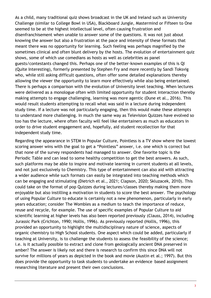As a child, many traditional quiz shows broadcast in the UK and Ireland such as University Challenge (similar to College Bowl in USA), Blackboard Jungle, Mastermind or Fifteen to One seemed to be at the highest intellectual level, often causing frustration and disenfranchisement when unable to answer some of the questions. It was not just about knowing the answer but also a frustration at the pace and intensity of these formats that meant there was no opportunity for learning. Such feeling was perhaps magnified by the sometimes clinical and often blunt delivery by the hosts. The evolution of entertainment quiz shows, some of which use comedians as hosts as well as celebrities as panel guests/contestants changed this. Perhaps one of the better-known examples of this is QI (Quite Interesting), formerly presented by Stephen Fry and more recently by Sandi Toksvig who, while still asking difficult questions, often offer some detailed explanations thereby allowing the viewer the opportunity to learn more effectively while also being entertained. There is perhaps a comparison with the evolution of University level teaching. When lectures were delivered as a monologue often with limited opportunity for student interaction thereby making attempts to engage challenging, learning was more agentic (Dune et al., 2016). This would result students attempting to recall what was said in a lecture during independent study time. If a lecture was not particularly engaging, then this would make these attempts to understand more challenging. In much the same way as Television Quizzes have evolved so too has the lecture, where often faculty will feel like entertainers as much as educators in order to drive student engagement and, hopefully, aid student recollection for that independent study time.

Regarding the appearance in STEM in Popular Culture, Pointless is a TV show where the lowest scoring answer wins with the goal to get a "Pointless" answer, i.e. one which is correct but that none of the survey respondents had managed to answer. One favorite topic is the Periodic Table and can lead to some healthy competition to get the best answers. As such, such platforms may be able to inspire and motivate learning in current students at all levels, and not just exclusively to Chemistry. This type of entertainment can also aid with attracting a wider audience while such formats can easily be integrated into teaching methods which can be engaging and stimulating (Dietrich et al., 2021; Clapson, 2020; Skluzacek, 2010). This could take on the format of pop Quizzes during lectures/classes thereby making them more enjoyable but also instilling a motivation in students to score the best answer. The psychology of using Popular Culture to educate is certainly not a new phenomenon, particularly in early years education; consider The Wombles as a medium to teach the importance of reduce, reuse and recycle, for example. The use of specific examples of Popular Culture to aid scientific learning at higher levels has also been reported previously (Clauss, 2014), including Jurassic Park (Crichton, 1990; Hollis, 1996). As previously reported (Hollis, 1996), this provided an opportunity to highlight the multidisciplinary nature of science, aspects of organic chemistry to High School students. One aspect which could be added, particularly if teaching at University, is to challenge the students to assess the feasibility of the science; i.e. is it actually possible to extract and clone from geologically ancient DNA preserved in amber? The answer is likely not and there is research to confirm this since DNA will not survive for millions of years as depicted in the book and movie (Austin et al.; 1997). But this does provide the opportunity to task students to undertake an evidence based assignment researching literature and present their own conclusions.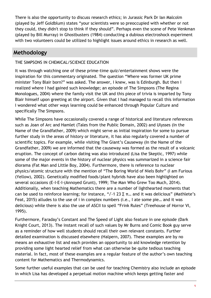There is also the opportunity to discuss research ethics; in Jurassic Park Dr Ian Malcolm (played by Jeff Goldblum) states "your scientists were so preoccupied with whether or not they could, they didn't stop to think if they should". Perhaps even the scene of Pete Venkman (played by Bill Murray) in Ghostbusters (1984) conducting a dubious electroshock experiment with two volunteers could be utilized to highlight issues around ethics in research as well.

### **Methodology**

#### THE SIMPSONS IN CHEMICAL/SCIENCE EDUCATION

It was through watching one of these prime-time quiz/entertainment shows were the inspiration for this commentary originated. The question "Where was former UK prime minister Tony Blair born?" was asked. The answer, I knew, was is Edinburgh. But then I realized where I had gained such knowledge; an episode of The Simpsons (The Regina Monologues, 2004) where the family visit the UK and this piece of trivia is imparted by Tony Blair himself upon greeting at the airport. Given that I had managed to recall this information I wondered what other ways learning could be enhanced through Popular Culture and specifically The Simpsons.

While The Simpsons have occasionally covered a range of historical and literature references such as Joan of Arc and Hamlet (Tales from the Public Domain, 2002) and Ulysses (In the Name of the Grandfather, 2009) which might serve as initial inspiration for some to pursue further study in the areas of history or literature, it has also regularly covered a number of scientific topics. For example, while visiting The Giant's Causeway (In the Name of the Grandfather, 2009) we are informed that the causeway was formed as the result of a volcanic eruption. The concept of carbon dating was also introduced (Lisa the Skeptic, 1997) while some of the major events in the history of nuclear physics was summarized in a science fair diorama (Fat Man and Little Boy, 2004). Furthermore, there is reference to nuclear physics/atomic structure with the mention of "The Boring World of Niels Bohr" (I am Furious (Yellow), 2002). Genetically modified foods/plant hybrids have also been highlighted on several occasions (E-I-E-I-(Annoyed Grunt), 1999; The Man Who Grew Too Much, 2014). Additionally, when teaching Mathematics there are a number of lighthearted moments that can be used to reinforce learning; for instance, " $J$ -1 23 Σ π... and it was delicious" (Mathlete's Feat, 2015) alludes to the use of i in complex numbers (i.e., I ate some pie… and it was delicious) while there is also the use of ASCII to spell "Frink Rules" (Treehouse of Horror VI, 1995).

Furthermore, Faraday's Constant and The Speed of Light also feature in one episode (Dark Knight Court, 2013). The instant recall of such values by Mr Burns and Comic Book guy serve as a reminder of how well students should recall their own relevant constants. Further detailed examination is discussed elsewhere (Halpern, 2007). These examples are by no means an exhaustive list and each provides an opportunity to aid knowledge retention by providing some light hearted relief from what can otherwise be quite tedious teaching material. In fact, most of these examples are a regular feature of the author's own teaching content for Mathematics and Thermodynamics.

Some further useful examples that can be used for teaching Chemistry also include an episode in which Lisa has developed a perpetual motion machine which keeps getting faster and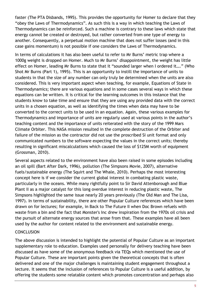faster (The PTA Disbands, 1995). This provides the opportunity for Homer to declare that they "obey the Laws of Thermodynamics". As such this is a way in which teaching the Laws of Thermodynamics can be reinforced. Such a machine is contrary to these laws which state that energy cannot be created or destroyed, but rather converted from one type of energy to another. Consequently, a perpetual motion machine that does not suffer losses (and in this case gains momentum) is not possible if one considers the Laws of Thermodynamics.

In terms of calculations it has also been useful to refer to Mr Burns' metric trap where a 1000g weight is dropped on Homer. Much to Mr Burns' disappointment, the weight has little effect on Homer, leading Mr Burns to state that it "sounded larger when I ordered it…." (Who Shot Mr Burns (Part 1), 1995). This is an opportunity to instill the importance of units to students in that the size of any number can only truly be determined when the units are also considered. This is very important aspect when teaching, for example, Equations of State in Thermodynamics; there are various equations and in some cases several ways in which these equations can be written. It is critical for the learning outcomes in this instance that the students know to take time and ensure that they are using any provided data with the correct units in a chosen equation, as well as identifying the times when data may have to be converted to the correct units to be used in an equation. Again, these various examples for Thermodynamics and importance of units are regularly used at various points in the author's teaching content and the importance of units reiterated with the story of the 1999 Mars Climate Orbiter. This NASA mission resulted in the complete destruction of the Orbiter and failure of the mission as the contractor did not use the proscribed SI unit format and only communicated numbers to the software expecting the values in the correct units; thereby resulting in significant miscalculations which caused the loss of \$125M worth of equipment (Grossman, 2010).

Several aspects related to the environment have also been raised in some episodes including an oil spill (Bart After Dark, 1996), pollution (The Simpsons Movie, 2007), alternative fuels/sustainable energy (The Squirt and The Whale, 2010). Perhaps the most interesting concept here is if we consider the current global interest in combating plastic waste, particularly in the oceans. While many rightfully point to Sir David Attenborough and Blue Plant II as a major catalyst for this long overdue interest in reducing plastic waste, The Simpsons highlighted the same issue nearly 20 years previously (The Old Man and The Lisa, 1997). In terms of sustainability, there are other Popular Culture references which have been drawn on for lectures; for example, in Back to The Future II when Doc Brown refuels with waste from a bin and the fact that Monster's Inc drew inspiration from the 1970s oil crisis and the pursuit of alternate energy sources that arose from that. These examples have all been used by the author for content related to the environment and sustainable energy.

#### **CONCLUSION**

The above discussion is intended to highlight the potential of Popular Culture as an important supplementary role to education. Examples used personally for delivery teaching have been discussed as have some of the anonymous feedback via TEQs which mentioned the use of Popular Culture. These are important points given the theoretical concepts that is often delivered and one of the major challenges is maintaining student engagement throughout a lecture. It seems that the inclusion of references to Popular Culture is a useful addition, by offering the students some relatable content which promotes concentration and perhaps also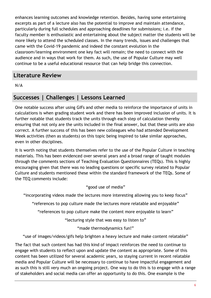enhances learning outcomes and knowledge retention. Besides, having some entertaining excerpts as part of a lecture also has the potential to improve and maintain attendance, particularly during full schedules and approaching deadlines for submissions; i.e. if the faculty member is enthusiastic and entertaining about the subject matter the students will be more likely to attend the scheduled classes. In the many trends, issues and challenges that came with the Covid-19 pandemic and indeed the constant evolution in the classroom/learning environment one key fact will remain; the need to connect with the audience and in ways that work for them. As such, the use of Popular Culture may well continue to be a useful educational resource that can help bridge this connection.

### **Literature Review**

N/A

# **Successes | Challenges | Lessons Learned**

One notable success after using GIFs and other media to reinforce the importance of units in calculations is when grading student work and there has been improved inclusion of units. It is further notable that students track the units through each step of calculation thereby ensuring that not only are the units included in the final answer, but that these units are also correct. A further success of this has been new colleagues who had attended Development Week activities (then as students) on this topic being inspired to take similar approaches, even in other disciplines.

It is worth noting that students themselves refer to the use of the Popular Culture in teaching materials. This has been evidenced over several years and a broad range of taught modules through the comments sections of Teaching Evaluation Questionnaires (TEQs). This is highly encouraging given that there was no leading questions or specific survey related to Popular Culture and students mentioned these within the standard framework of the TEQs. Some of the TEQ comments include:

#### "good use of media"

"incorporating videos made the lectures more interesting allowing you to keep focus"

"references to pop culture made the lectures more relatable and enjoyable"

"references to pop culture make the content more enjoyable to learn"

"lecturing style that was easy to listen to"

"made thermodynamics fun!"

"use of images/videos/gifs help brighten a heavy lecture and make content relatable"

The fact that such content has had this kind of impact reinforces the need to continue to engage with students to reflect upon and update the content as appropriate. Some of this content has been utilized for several academic years, so staying current in recent relatable media and Popular Culture will be necessary to continue to have impactful engagement and as such this is still very much an ongoing project. One way to do this is to engage with a range of stakeholders and social media can offer an opportunity to do this. One example is the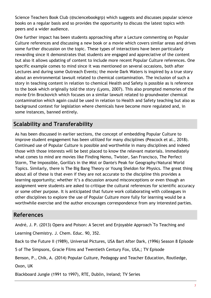Science Teachers Book Club (@sciencebookgrp) which suggests and discusses popular science books on a regular basis and so provides the opportunity to discuss the latest topics with peers and a wider audience.

One further impact has been students approaching after a Lecture commenting on Popular Culture references and discussing a new book or a movie which covers similar areas and drives some further discussion on the topic. These types of interactions have been particularly rewarding since it demonstrates that students are engaged and appreciative of the content but also it allows updating of content to include more recent Popular Culture references. One specific example comes to mind since it was mentioned on several occasions, both after Lectures and during some Outreach Events; the movie Dark Waters is inspired by a true story about an environmental lawsuit related to chemical contamination. The inclusion of such a story in teaching content in relation to chemical Health and Safety is possible as is reference to the book which originally told the story (Lyons, 2007). This also prompted memories of the movie Erin Brockovich which focuses on a similar lawsuit related to groundwater chemical contamination which again could be used in relation to Health and Safety teaching but also as background context for legislation where chemicals have become more regulated and, in some instances, banned entirely.

# **Scalability and Transferability**

As has been discussed in earlier sections, the concept of embedding Popular Culture to improve student engagement has been utilized for many disciplines (Peacock et al., 2018). Continued use of Popular Culture is possible and worthwhile in many disciplines and indeed those with those interests will be best placed to know the relevant materials. Immediately what comes to mind are movies like Finding Nemo, Twister, San Francisco, The Perfect Storm, The Impossible, Gorilla's in the Mist or Dante's Peak for Geography/Natural World Topics. Similarly, there is The Big Bang Theory or Young Sheldon for Physics. The great thing about all of these is that even if they are not accurate to the discipline this provides a learning opportunity; whether it's a discussion around misconceptions or even though an assignment were students are asked to critique the cultural references for scientific accuracy or some other purpose. It is anticipated that future work collaborating with colleagues in other disciplines to explore the use of Popular Culture more fully for learning would be a worthwhile exercise and the author encourages correspondence from any interested parties.

### **References**

André, J. P. (2013) Opera and Poison: A Secret and Enjoyable Approach ́To Teaching and Learning Chemistry. J. Chem. Educ. 90, 352.

Back to the Future II (1989), Universal Pictures, USA Bart After Dark, (1996) Season 8 Episode

5 of The Simpsons, Gracie Films and Twentieth Century Fox, USA,; TV Episode

Benson, P., Chik, A. (2014) Popular Culture, Pedagogy and Teacher Education, Routledge, Oxon, UK

Blackboard Jungle (1991 to 1997), RTE, Dublin, Ireland; TV Series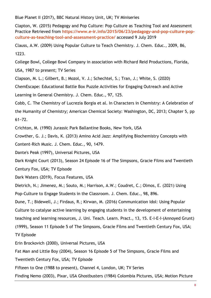Blue Planet II (2017), BBC Natural History Unit, UK; TV Miniseries

Clapton, W. (2015) Pedagogy and Pop Culture: Pop Culture as Teaching Tool and Assessment Practice Retrieved from **[https://www.e-ir.info/2015/06/23/pedagogy-and-pop-culture-pop](https://www.e-ir.info/2015/06/23/pedagogy-and-pop-culture-pop-culture-as-teaching-tool-and-assessment-practice/)[culture-as-teaching-tool-and-assessment-practice/](https://www.e-ir.info/2015/06/23/pedagogy-and-pop-culture-pop-culture-as-teaching-tool-and-assessment-practice/)** accessed 9 July 2019

Clauss, A.W. (2009) Using Popular Culture to Teach Chemistry. J. Chem. Educ., 2009, 86, 1223.

College Bowl, College Bowl Company in association with Richard Reid Productions, Florida,

USA, 1987 to present; TV Series

Clapson, M. L.; Gilbert, B.; Mozol, V. J.; Schechtel, S.; Tran, J.; White, S. (2020)

ChemEscape: Educational Battle Box Puzzle Activities for Engaging Outreach and Active

Learning in General Chemistry. J. Chem. Educ., 97, 125.

Cobb, C. The Chemistry of Lucrezia Borgia et al. In Characters in Chemistry: A Celebration of the Humanity of Chemistry; American Chemical Society: Washington, DC, 2013; Chapter 5, pp 61−72.

Crichton, M. (1990) Jurassic Park Ballantine Books, New York, USA

Crowther, G. J.; Davis, K. (2013) Amino Acid Jazz: Amplifying Biochemistry Concepts with

Content-Rich Music. J. Chem. Educ., 90, 1479.

Dante's Peak (1997), Universal Pictures, USA

Dark Knight Court (2013), Season 24 Episode 16 of The Simpsons, Gracie Films and Twentieth

Century Fox, USA; TV Episode

Dark Waters (2019), Focus Features, USA

Dietrich, N.; Jimenez, M.; Souto, M.; Harrison, A.W.; Coudret, C.; Olmos, E. (2021) Using Pop-Culture to Engage Students in the Classroom. J. Chem. Educ., 98, 896.

Dune, T.; Bidewell, J.; Firdaus, R.; Kirwan, M. (2016) Communication Idol: Using Popular Culture to catalyse active learning by engaging students in the development of entertaining teaching and learning resources, J. Uni. Teach. Learn. Pract., 13, 15. E-I-E-I-(Annoyed Grunt) (1999), Season 11 Episode 5 of The Simpsons, Gracie Films and Twentieth Century Fox, USA; TV Episode

Erin Brockovich (2000), Universal Pictures, USA

Fat Man and Little Boy (2004), Season 16 Episode 5 of The Simpsons, Gracie Films and

Twentieth Century Fox, USA; TV Episode

Fifteen to One (1988 to present), Channel 4, London, UK; TV Series

Finding Nemo (2003), Pixar, USA Ghostbusters (1984) Colombia Pictures, USA; Motion Picture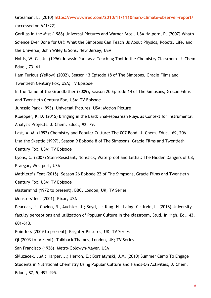Grossman, L. (2010) **<https://www.wired.com/2010/11/1110mars-climate-observer-report/>** (accessed on 6/1/22)

Gorillas in the Mist (1988) Universal Pictures and Warner Bros., USA Halpern, P. (2007) What's Science Ever Done for Us?: What the Simpsons Can Teach Us About Physics, Robots, Life, and the Universe, John Wiley & Sons, New Jersey, USA

Hollis, W. G., Jr. (1996) Jurassic Park as a Teaching Tool in the Chemistry Classroom. J. Chem Educ., 73, 61.

I am Furious (Yellow) (2002), Season 13 Episode 18 of The Simpsons, Gracie Films and Twentieth Century Fox, USA; TV Episode

In the Name of the Grandfather (2009), Season 20 Episode 14 of The Simpsons, Gracie Films

and Twentieth Century Fox, USA; TV Episode

Jurassic Park (1993), Universal Pictures, USA; Motion Picture

Kloepper, K. D. (2015) Bringing in the Bard: Shakespearean Plays as Context for Instrumental Analysis Projects. J. Chem. Educ., 92, 79.

Last, A. M. (1992) Chemistry and Popular Culture: The 007 Bond. J. Chem. Educ., 69, 206.

Lisa the Skeptic (1997), Season 9 Episode 8 of The Simpsons, Gracie Films and Twentieth

Century Fox, USA; TV Episode

Lyons, C. (2007) Stain-Resistant, Nonstick, Waterproof and Lethal: The Hidden Dangers of C8, Praegar, Westport, USA

Mathlete's Feat (2015), Season 26 Episode 22 of The Simpsons, Gracie Films and Twentieth

Century Fox, USA; TV Episode

Mastermind (1972 to present), BBC, London, UK; TV Series

Monsters' Inc. (2001), Pixar, USA

Peacock, J., Covino, R., Auchter, J.; Boyd, J.; Klug, H.; Laing, C.; Irvin, L. (2018) University

faculty perceptions and utilization of Popular Culture in the classroom, Stud. in High. Ed., 43, 601-613.

Pointless (2009 to present), Brighter Pictures, UK; TV Series

QI (2003 to present), Talkback Thames, London, UK; TV Series

San Francisco (1936), Metro-Goldwyn-Mayer, USA

Skluzacek, J.M.; Harper, J.; Herron, E.; Bortiatynski, J.M. (2010) Summer Camp To Engage

Students in Nutritional Chemistry Using Popular Culture and Hands-On Activities, J. Chem.

Educ., 87, 5, 492–495.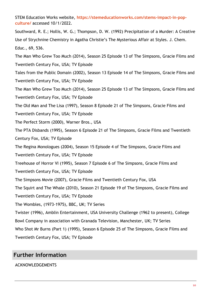STEM Education Works website, **[https://stemeducationworks.com/stems-impact-in-pop](https://stemeducationworks.com/stems-impact-in-pop-culture/)[culture/](https://stemeducationworks.com/stems-impact-in-pop-culture/)** accessed 10/1/2022.

Southward, R. E.; Hollis, W. G.; Thompson, D. W. (1992) Precipitation of a Murder: A Creative Use of Strychnine Chemistry in Agatha Christie's The Mysterious Affair at Styles. J. Chem. Educ., 69, 536.

The Man Who Grew Too Much (2014), Season 25 Episode 13 of The Simpsons, Gracie Films and Twentieth Century Fox, USA; TV Episode

Tales from the Public Domain (2002), Season 13 Episode 14 of The Simpsons, Gracie Films and Twentieth Century Fox, USA; TV Episode

The Man Who Grew Too Much (2014), Season 25 Episode 13 of The Simpsons, Gracie Films and Twentieth Century Fox, USA; TV Episode

The Old Man and The Lisa (1997), Season 8 Episode 21 of The Simpsons, Gracie Films and

Twentieth Century Fox, USA; TV Episode

The Perfect Storm (2000), Warner Bros., USA

The PTA Disbands (1995), Season 6 Episode 21 of The Simpsons, Gracie Films and Twentieth

Century Fox, USA; TV Episode

The Regina Monologues (2004), Season 15 Episode 4 of The Simpsons, Gracie Films and

Twentieth Century Fox, USA; TV Episode

Treehouse of Horror VI (1995), Season 7 Episode 6 of The Simpsons, Gracie Films and

Twentieth Century Fox, USA; TV Episode

The Simpsons Movie (2007), Gracie Films and Twentieth Century Fox, USA

The Squirt and The Whale (2010), Season 21 Episode 19 of The Simpsons, Gracie Films and

Twentieth Century Fox, USA; TV Episode

The Wombles, (1973-1975), BBC, UK; TV Series

Twister (1996), Amblin Entertainment, USA University Challenge (1962 to present), College

Bowl Company in association with Granada Television, Manchester, UK; TV Series

Who Shot Mr Burns (Part 1) (1995), Season 6 Episode 25 of The Simpsons, Gracie Films and

Twentieth Century Fox, USA; TV Episode

# **Further Information**

#### ACKNOWLEDGEMENTS